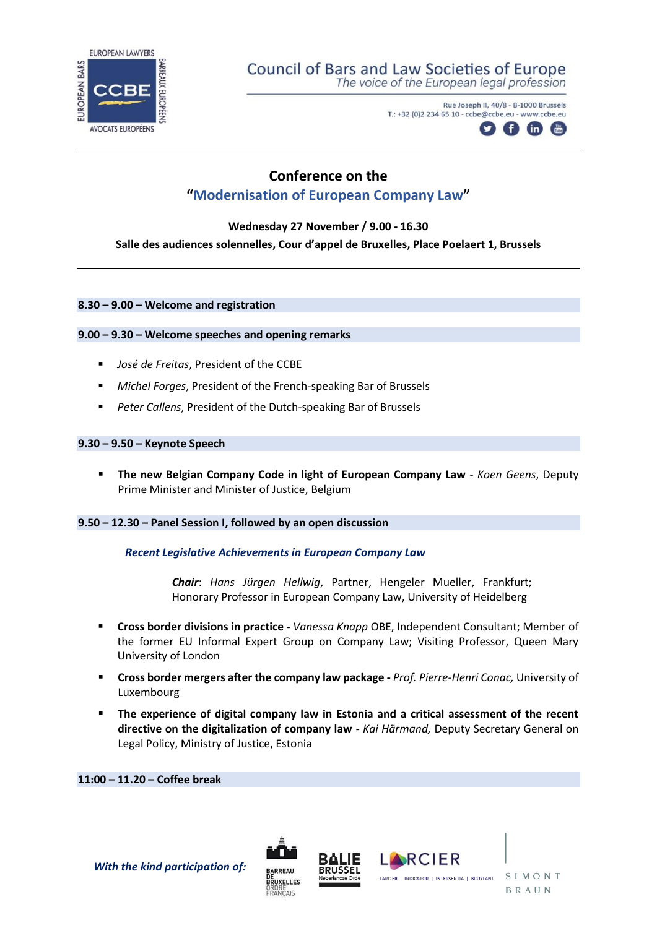

# Council of Bars and Law Societies of Europe

The voice of the European legal profession

Rue Joseph II, 40/8 - B-1000 Brussels T.: +32 (0)2 234 65 10 - ccbe@ccbe.eu - www.ccbe.eu



# **Conference on the "Modernisation of European Company Law"**

**Wednesday 27 November / 9.00 - 16.30** 

## **Salle des audiences solennelles, Cour d'appel de Bruxelles, Place Poelaert 1, Brussels**

#### **8.30 – 9.00 – Welcome and registration**

#### **9.00 – 9.30 – Welcome speeches and opening remarks**

- *José de Freitas*, President of the CCBE
- *Michel Forges*, President of the French-speaking Bar of Brussels
- *Peter Callens*, President of the Dutch-speaking Bar of Brussels

### **9.30 – 9.50 – Keynote Speech**

**EXTHE 12 The new Belgian Company Code in light of European Company Law** - *Koen Geens*, Deputy Prime Minister and Minister of Justice, Belgium

#### **9.50 – 12.30 – Panel Session I, followed by an open discussion**

#### *Recent Legislative Achievements in European Company Law*

*Chair*: *Hans Jürgen Hellwig*, Partner, Hengeler Mueller, Frankfurt; Honorary Professor in European Company Law, University of Heidelberg

- **Cross border divisions in practice -** *Vanessa Knapp* OBE, Independent Consultant; Member of the former EU Informal Expert Group on Company Law; Visiting Professor, Queen Mary University of London
- **Cross border mergers after the company law package -** *Prof. Pierre-Henri Conac,* University of Luxembourg
- **EXED** The experience of digital company law in Estonia and a critical assessment of the recent **directive on the digitalization of company law -** *Kai Härmand,* Deputy Secretary General on Legal Policy, Ministry of Justice, Estonia

**11:00 – 11.20 – Coffee break**

*With the kind participation of:*





SIMONT **BRAUN**